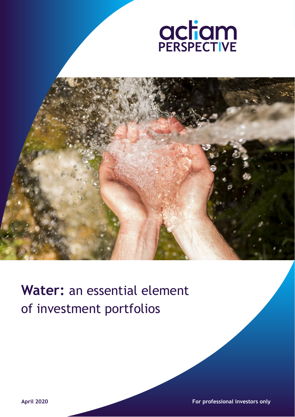



# **Water:** an essential element of investment portfolios

**April 2020 For professional investors only**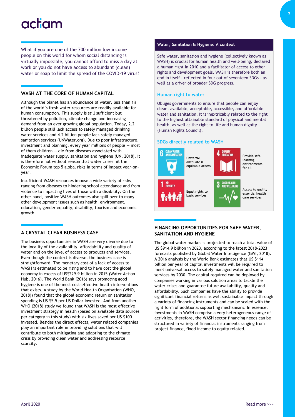# actam

What if you are one of the 700 million low income people on this world for whom social distancing is virtually impossible, you cannot afford to miss a day at work or you do not have access to abundant (clean) water or soap to limit the spread of the COVID-19 virus?

## **WASH AT THE CORE OF HUMAN CAPITAL**

Although the planet has an abundance of water, less than 1% of the world's fresh water resources are readily available for human consumption. This supply is still sufficient but threatened by pollution, climate change and increasing demand from an ever growing global population. Today, 2.2 billion people still lack access to safely managed drinking water services and 4.2 billion people lack safely managed sanitation services (UNWater.org). Due to poor infrastructure, investment and planning, every year millions of people — most of them children — die from diseases associated with inadequate water supply, sanitation and hygiene (UN, 2018). It is therefore not without reason that water crises hit the Economic Forum top 5 global risks in terms of impact year-onyear.

Insufficient WASH resources impose a wide variety of risks, ranging from diseases to hindering school attendance and from violence to impacting lives of those with a disability. On the other hand, positive WASH outcomes also spill over to many other development issues such as health, environment, education, gender equality, disability, tourism and economic growth.

# **A CRYSTAL CLEAR BUSINESS CASE**

The business opportunities in WASH are very diverse due to the locality of the availability, affordability and quality of water and on the level of access to products and services. Even though the context is diverse, the business case is straightforward. The monetary cost of a lack of access to WASH is estimated to be rising and to have cost the global economy in excess of US\$229.9 billion in 2015 (Water Action Hub, 2016). The World Bank (2016) says promoting good hygiene is one of the most cost-effective health interventions that exists. A study by the World Health Organisation (WHO, 2018)) found that the global economic return on sanitation spending is US \$5.5 per US Dollar invested. And from another WHO (2018) study we found that WASH is the most effective investment strategy in health (based on available data sources per category in this study) with six lives saved per US \$100 invested. Besides the direct effects, water related companies play an important role in providing solutions that will contribute to both mitigating and adapting to the climate crisis by providing clean water and addressing resource scarcity.

#### **Water, Sanitation & Hygiene: A context**

Safe water, sanitation and hygiene (collectively known as WASH) is crucial for human health and well-being, declared a human right in 2010 and a facilitator of access to other rights and development goals. WASH is therefore both an end in itself - reflected in four out of seventeen SDGs - as well as a driver of broader SDG progress.

### **Human right to water**

Obliges governments to ensure that people can enjoy clean, available, acceptable, accessible, and affordable water and sanitation. It is inextricably related to the right to the highest attainable standard of physical and mental health, as well as the right to life and human dignity (Human Rights Council).

## **SDGs directly related to WASH**

**Ilniversal Batunebs** equitable access



Provide safe learning environments  $for all$ 



Equal rights to basic services



Access to quality essential health care services

### **FINANCING OPPORTUNITIES FOR SAFE WATER, SANITATION AND HYGIENE**

The global water market is projected to reach a total value of US \$914.9 billion in 2023, according to the latest 2018-2023 forecasts published by Global Water Intelligence (GWI, 2018). A 2016 analysis by the World Bank estimates that US \$114 billion per year of capital investments will be required to meet universal access to safely managed water and sanitation services by 2030. The capital required can be deployed by companies working in various solution areas to tackle the water crises and guarantee future availability, quality and affordability. Such companies have the ability to provide significant financial returns as well sustainable impact through a variety of financing instruments and can be scaled with the right form of additional supporting mechanisms. In essence, investments in WASH comprise a very heterogeneous range of activities, therefore, the WASH sector financing needs can be structured in variety of financial instruments ranging from project finance, fixed income to equity related.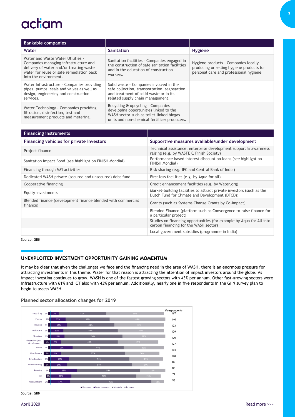# actiam

| <b>Bankable companies</b>                                                                                                                                                                  |                                                                                                                                                                         |                                                                                                                              |
|--------------------------------------------------------------------------------------------------------------------------------------------------------------------------------------------|-------------------------------------------------------------------------------------------------------------------------------------------------------------------------|------------------------------------------------------------------------------------------------------------------------------|
| Water                                                                                                                                                                                      | Sanitation                                                                                                                                                              | <b>Hygiene</b>                                                                                                               |
| Water and Waste Water Utilities -<br>Companies managing infrastructure and<br>delivery of water and/or treating waste<br>water for reuse or safe remediation back<br>into the environment. | Sanitation facilities - Companies engaged in<br>the construction of safe sanitation facilities<br>and in the education of construction<br>workers.                      | Hygiene products - Companies locally<br>producing or selling hygiene products for<br>personal care and professional hygiene. |
| Water Infrastructure - Companies providing<br>pipes, pumps, seals and valves as well as<br>design, engineering and construction<br>services.                                               | Solid waste - Companies involved in the<br>safe collection, transportation, segregation<br>and treatment of solid waste or in its<br>related supply chain management.   |                                                                                                                              |
| Water Technology - Companies providing<br>filtration, disinfection, test and<br>measurement products and metering.                                                                         | Recycling & upcycling - Companies<br>developing opportunities linked to the<br>WASH sector such as toilet-linked biogas<br>units and non-chemical fertilizer producers. |                                                                                                                              |

| <b>Financing instruments</b>                                             |                                                                                                                        |
|--------------------------------------------------------------------------|------------------------------------------------------------------------------------------------------------------------|
| Financing vehicles for private investors                                 | Supportive measures available/under development                                                                        |
| Project finance                                                          | Technical assistance, enterprise development support & awareness<br>raising (e.g. by WASTE & Finish Society)           |
| Sanitation Impact Bond (see highlight on FINISH Mondial)                 | Performance based interest discount on loans (see highlight on<br>FINISH Mondial)                                      |
| Financing through MFI activities                                         | Risk sharing (e.g. IFC and Central Bank of India)                                                                      |
| Dedicated WASH private (secured and unsecured) debt fund                 | First loss facilities (e.g. by Aqua for all)                                                                           |
| Cooperative financing                                                    | Credit enhancement facilities (e.g. by Water.org)                                                                      |
| Equity investments                                                       | Market-building facilities to attract private investors (such as the<br>Dutch Fund for Climate and Development (DFCD)) |
| Blended finance (development finance blended with commercial<br>finance) | Grants (such as Systems Change Grants by Co-Impact)                                                                    |
|                                                                          | Blended Finance (platform such as Convergence to raise finance for<br>a particular project)                            |
|                                                                          | Studies on financing opportunities (for example by Aqua for All into<br>carbon financing for the WASH sector)          |
|                                                                          | Local government subsidies (programme in India)                                                                        |

Source: GIIN

# **UNEXPLOITED INVESTMENT OPPORTUNITY GAINING MOMENTUM**

It may be clear that given the challenges we face and the financing need in the area of WASH, there is an enormous pressure for attracting investments in this theme. Water for that reason is attracting the attention of impact investors around the globe. As impact investing continues to grow, WASH is one of the fastest growing sectors with 43% per annum. Other fast-growing sectors were infrastructure with 61% and ICT also with 43% per annum. Additionally, nearly one in five respondents in the GIIN survey plan to begin to assess WASH.

### **Planned sector allocation changes for 2019**



Source: GIIN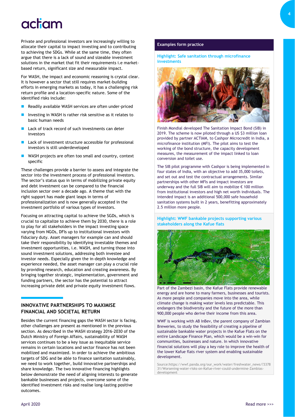# actiam

Private and professional investors are increasingly willing to allocate their capital to impact investing and to contributing to achieving the SDGs. While at the same time, they often argue that there is a lack of sound and sizeable investment solutions in the market that fit their requirements i.e marketbased return, significant size and measurable impact.

For WASH, the impact and economic reasoning is crystal clear. It is however a sector that still requires market-building efforts in emerging markets as today, it has a challenging risk return profile and a location-specific nature. Some of the identified risks include:

- Readily available WASH services are often under-priced
- Investing in WASH is rather risk sensitive as it relates to basic human needs
- Lack of track record of such investments can deter investors
- Lack of investment structure accessible for professional investors is still underdeveloped
- WASH projects are often too small and country, context specific

These challenges provide a barrier to assess and integrate the sector into the investment process of professional investors. The sector's status quo in terms of mobilizing private equity and debt investment can be compared to the financial inclusion sector over a decade ago. A theme that with the right support has made giant leaps in terms of professionalization and is now generally accepted in the investment portfolio of various types of investors.

Focusing on attracting capital to achieve the SGDs, which is crucial to capitalize to achieve them by 2030, there is a role to play for all stakeholders in the impact investing space varying from NGOs, DFIs up to institutional investors with fiduciary duty. Asset managers for example can and should take their responsibility by identifying investable themes and investment opportunities, i.e. WASH, and turning those into sound investment solutions, addressing both investee and investor needs. Especially given the in-depth knowledge and experience needed, the asset manager can play a crucial role by providing research, education and creating awareness. By bringing together strategic, implementation, government and funding partners, the sector has the potential to attract increasing private debt and private equity investment flows.

### **INNOVATIVE PARTNERSHIPS TO MAXIMISE FINANCIAL AND SOCIETAL RETURN**

Besides the current financing gaps the WASH sector is facing, other challenges are present as mentioned in the previous section. As described in the WASH strategy 2016-2030 of the Dutch Ministry of Foreign Affairs, sustainability of WASH services continues to be a key issue as inequitable service remains in certain locations and sector finance has not been mobilized and maximized. In order to achieve the ambitious targets of SDG and be able to finance sanitation sustainably, we need to work together, build innovative partnerships and share knowledge. The two innovative financing highlights below demonstrate the need of aligning interests to generate bankable businesses and projects, overcome some of the identified investment risks and realise long-lasting positive outcomes.

#### **Examples form practice**

**Highlight: Safe sanitation through microfinance investments**



Finish Mondial developed The Sanitation Impact Bond (SIB) in 2019. The scheme is now piloted through a US \$3 million loan provided by partner ACTIAM, to Cashpor Microcredit in India, a microfinance institution (MFI). The pilot aims to test the working of the bond structure, the capacity development measures, the measurement of the impact linked to loan conversion and toilet use.

The SIB pilot programme with Cashpor is being implemented in four states of India, with an objective to add 35,000 toilets, and set out and test the contractual arrangements. Similar partnerships with other MFIs and impact investors are underway and the full SIB will aim to mobilize € 100 million from institutional investors and high net worth individuals. The intended impact is an additional 500,000 safe household sanitation systems built in 2 years, benefitting approximately 2.5 million more people.

**Highlight: WWF bankable projects supporting various stakeholders along the Kafue flats**



Part of the Zambezi basin, the Kafue Flats provide renewable energy and are home to many farmers, businesses and tourists. As more people and companies move into the area, while climate change is making water levels less predictable. This endangers the biodiversity and the future of the more than 900,000 people who derive their income from this area.

WWF is working with AB InBev, the parent company of Zambian Breweries, to study the feasibility of creating a pipeline of sustainable bankable water projects in the Kafue Flats on the entire Landscape Finance Plan, which would be a win-win for communities, businesses and nature. In which innovative financial solutions will play a key role to improve the health of the lower Kafue flats river system and enabling sustainable development.

Source:https://wwf.panda.org/our\_work/water/freshwater\_news/?3378 31/Worsening-water-risks-on-Kafue-river-could-undermine-Zambiasdevelopment